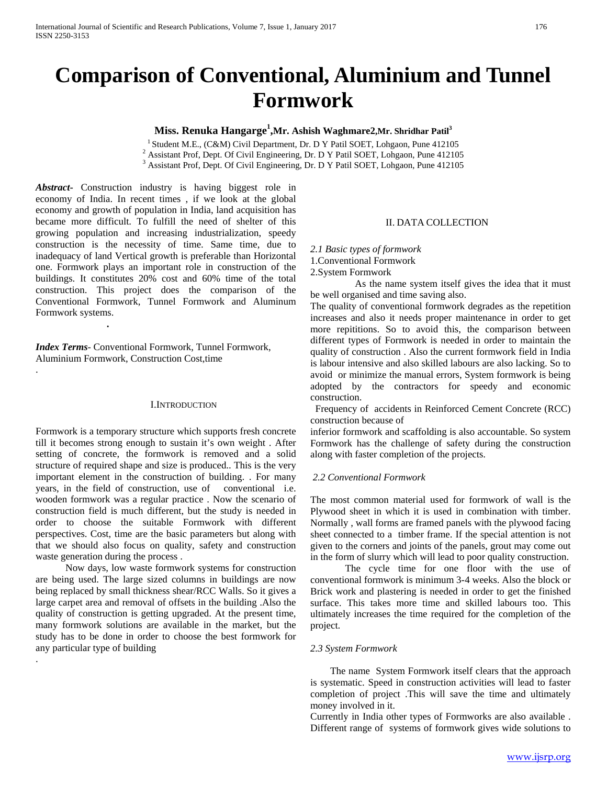# **Comparison of Conventional, Aluminium and Tunnel Formwork**

# **Miss. Renuka Hangarge 1 ,Mr. Ashish Waghmare2,Mr. Shridhar Patil<sup>3</sup>**

<sup>1</sup> Student M.E., (C&M) Civil Department, Dr. D Y Patil SOET, Lohgaon, Pune 412105<sup>2</sup> Assistant Prof, Dept. Of Civil Engineering, Dr. D Y Patil SOET, Lohgaon, Pune 412105<sup>2</sup> Assistant Prof, Dept. Of Civil Engineering, Dr.

*Abstract***-** Construction industry is having biggest role in economy of India. In recent times , if we look at the global economy and growth of population in India, land acquisition has became more difficult. To fulfill the need of shelter of this growing population and increasing industrialization, speedy construction is the necessity of time. Same time, due to inadequacy of land Vertical growth is preferable than Horizontal one. Formwork plays an important role in construction of the buildings. It constitutes 20% cost and 60% time of the total construction. This project does the comparison of the Conventional Formwork, Tunnel Formwork and Aluminum Formwork systems.

*Index Terms*- Conventional Formwork, Tunnel Formwork, Aluminium Formwork, Construction Cost,time

*.*

.

.

#### I.INTRODUCTION

Formwork is a temporary structure which supports fresh concrete till it becomes strong enough to sustain it's own weight . After setting of concrete, the formwork is removed and a solid structure of required shape and size is produced.. This is the very important element in the construction of building. . For many years, in the field of construction, use of conventional i.e. wooden formwork was a regular practice . Now the scenario of construction field is much different, but the study is needed in order to choose the suitable Formwork with different perspectives. Cost, time are the basic parameters but along with that we should also focus on quality, safety and construction waste generation during the process .

 Now days, low waste formwork systems for construction are being used. The large sized columns in buildings are now being replaced by small thickness shear/RCC Walls. So it gives a large carpet area and removal of offsets in the building .Also the quality of construction is getting upgraded. At the present time, many formwork solutions are available in the market, but the study has to be done in order to choose the best formwork for any particular type of building

#### II. DATA COLLECTION

*2.1 Basic types of formwork* 1.Conventional Formwork

2.System Formwork

 As the name system itself gives the idea that it must be well organised and time saving also.

The quality of conventional formwork degrades as the repetition increases and also it needs proper maintenance in order to get more repititions. So to avoid this, the comparison between different types of Formwork is needed in order to maintain the quality of construction . Also the current formwork field in India is labour intensive and also skilled labours are also lacking. So to avoid or minimize the manual errors, System formwork is being adopted by the contractors for speedy and economic construction.

 Frequency of accidents in Reinforced Cement Concrete (RCC) construction because of

inferior formwork and scaffolding is also accountable. So system Formwork has the challenge of safety during the construction along with faster completion of the projects.

## *2.2 Conventional Formwork*

The most common material used for formwork of wall is the Plywood sheet in which it is used in combination with timber. Normally , wall forms are framed panels with the plywood facing sheet connected to a timber frame. If the special attention is not given to the corners and joints of the panels, grout may come out in the form of slurry which will lead to poor quality construction.

 The cycle time for one floor with the use of conventional formwork is minimum 3-4 weeks. Also the block or Brick work and plastering is needed in order to get the finished surface. This takes more time and skilled labours too. This ultimately increases the time required for the completion of the project.

## *2.3 System Formwork*

 The name System Formwork itself clears that the approach is systematic. Speed in construction activities will lead to faster completion of project .This will save the time and ultimately money involved in it.

Currently in India other types of Formworks are also available . Different range of systems of formwork gives wide solutions to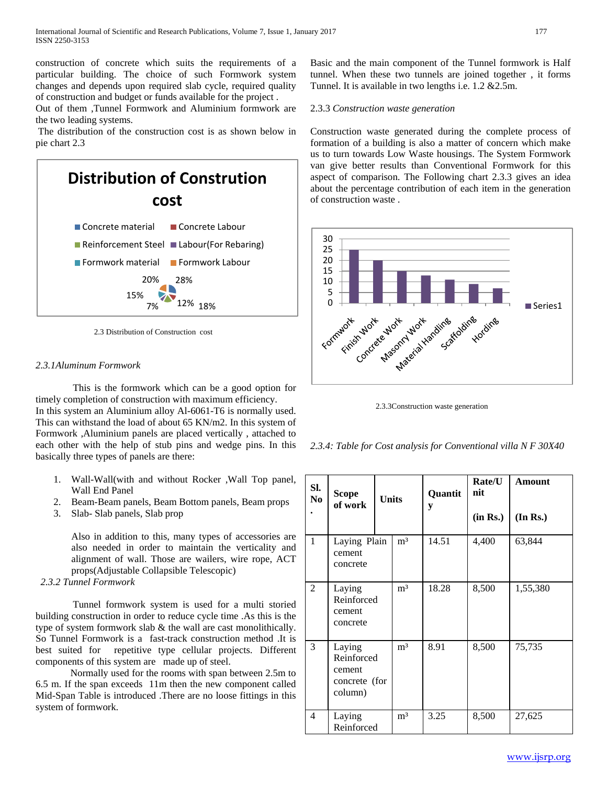construction of concrete which suits the requirements of a particular building. The choice of such Formwork system changes and depends upon required slab cycle, required quality of construction and budget or funds available for the project .

Out of them ,Tunnel Formwork and Aluminium formwork are the two leading systems.

The distribution of the construction cost is as shown below in pie chart 2.3



2.3 Distribution of Construction cost

# *2.3.1Aluminum Formwork*

 This is the formwork which can be a good option for timely completion of construction with maximum efficiency. In this system an Aluminium alloy Al-6061-T6 is normally used. This can withstand the load of about 65 KN/m2. In this system of Formwork ,Aluminium panels are placed vertically , attached to each other with the help of stub pins and wedge pins. In this basically three types of panels are there:

- 1. Wall-Wall(with and without Rocker ,Wall Top panel, Wall End Panel
- 2. Beam-Beam panels, Beam Bottom panels, Beam props
- 3. Slab- Slab panels, Slab prop

Also in addition to this, many types of accessories are also needed in order to maintain the verticality and alignment of wall. Those are wailers, wire rope, ACT props(Adjustable Collapsible Telescopic)

# *2.3.2 Tunnel Formwork*

 Tunnel formwork system is used for a multi storied building construction in order to reduce cycle time .As this is the type of system formwork slab & the wall are cast monolithically. So Tunnel Formwork is a fast-track construction method .It is best suited for repetitive type cellular projects. Different components of this system are made up of steel.

 Normally used for the rooms with span between 2.5m to 6.5 m. If the span exceeds 11m then the new component called Mid-Span Table is introduced .There are no loose fittings in this system of formwork.

Basic and the main component of the Tunnel formwork is Half tunnel. When these two tunnels are joined together , it forms Tunnel. It is available in two lengths i.e. 1.2 &2.5m.

#### 2.3.3 *Construction waste generation*

Construction waste generated during the complete process of formation of a building is also a matter of concern which make us to turn towards Low Waste housings. The System Formwork van give better results than Conventional Formwork for this aspect of comparison. The Following chart 2.3.3 gives an idea about the percentage contribution of each item in the generation of construction waste .



2.3.3Construction waste generation

*2.3.4: Table for Cost analysis for Conventional villa N F 30X40*

| SI.<br>N <sub>0</sub> | <b>Scope</b><br>of work                                    | <b>Units</b> |                | Quantit<br>y | Rate/U<br>nit<br>(in Rs.) | <b>Amount</b><br>(In Rs.) |
|-----------------------|------------------------------------------------------------|--------------|----------------|--------------|---------------------------|---------------------------|
| 1                     | Laying Plain<br>cement<br>concrete                         |              | m <sup>3</sup> | 14.51        | 4,400                     | 63,844                    |
| $\overline{2}$        | Laying<br>Reinforced<br>cement<br>concrete                 |              | m <sup>3</sup> | 18.28        | 8,500                     | 1,55,380                  |
| 3                     | Laying<br>Reinforced<br>cement<br>concrete (for<br>column) |              | m <sup>3</sup> | 8.91         | 8,500                     | 75,735                    |
| 4                     | Laying<br>Reinforced                                       |              | m <sup>3</sup> | 3.25         | 8,500                     | 27,625                    |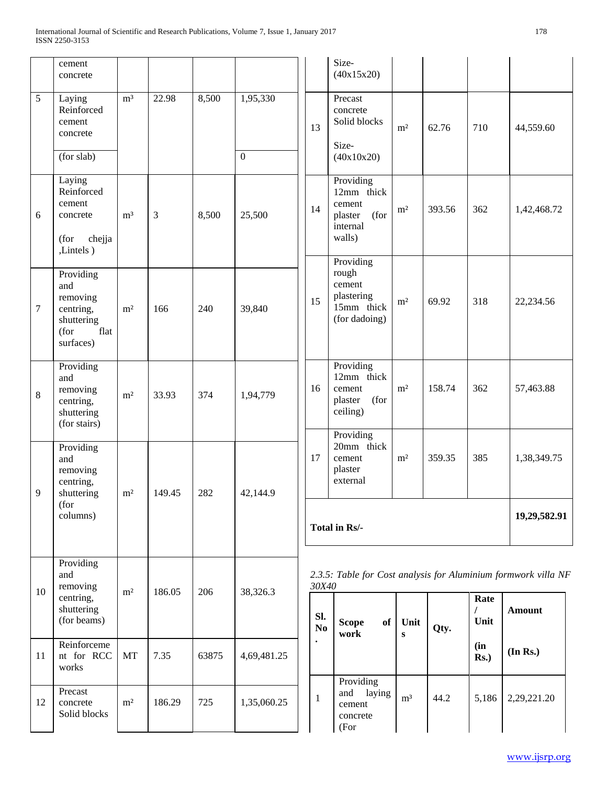|    | cement<br>concrete                                                                   |                |        |       |             |           | Size-<br>(40x15x20)                                                        |                  |        |                          |                                                                |
|----|--------------------------------------------------------------------------------------|----------------|--------|-------|-------------|-----------|----------------------------------------------------------------------------|------------------|--------|--------------------------|----------------------------------------------------------------|
| 5  | Laying<br>Reinforced<br>cement<br>concrete                                           | m <sup>3</sup> | 22.98  | 8,500 | 1,95,330    | 13        | Precast<br>concrete<br>Solid blocks<br>Size-                               | m <sup>2</sup>   | 62.76  | 710                      | 44,559.60                                                      |
|    | (for slab)                                                                           |                |        |       | $\Omega$    |           | (40x10x20)                                                                 |                  |        |                          |                                                                |
| 6  | Laying<br>Reinforced<br>cement<br>concrete<br>(for<br>chejja<br>,Lintels)            | m <sup>3</sup> | 3      | 8,500 | 25,500      | 14        | Providing<br>12mm thick<br>cement<br>(for<br>plaster<br>internal<br>walls) | m <sup>2</sup>   | 393.56 | 362                      | 1,42,468.72                                                    |
| 7  | Providing<br>and<br>removing<br>centring,<br>shuttering<br>flat<br>(for<br>surfaces) | m <sup>2</sup> | 166    | 240   | 39,840      | 15        | Providing<br>rough<br>cement<br>plastering<br>15mm thick<br>(for dadoing)  | m <sup>2</sup>   | 69.92  | 318                      | 22,234.56                                                      |
| 8  | Providing<br>and<br>removing<br>centring,<br>shuttering<br>(for stairs)              | m <sup>2</sup> | 33.93  | 374   | 1,94,779    | 16        | Providing<br>12mm thick<br>cement<br>(for<br>plaster<br>ceiling)           | m <sup>2</sup>   | 158.74 | 362                      | 57,463.88                                                      |
| 9  | Providing<br>and<br>removing<br>centring,<br>shuttering                              | m <sup>2</sup> | 149.45 | 282   | 42,144.9    | 17        | Providing<br>20mm thick<br>cement<br>plaster<br>external                   | m <sup>2</sup>   | 359.35 | 385                      | 1,38,349.75                                                    |
|    | (for<br>columns)                                                                     |                |        |       |             |           | Total in Rs/-                                                              |                  |        |                          | 19,29,582.91                                                   |
|    | Providing<br>and<br>removing                                                         |                |        |       |             | 30X40     |                                                                            |                  |        |                          | 2.3.5: Table for Cost analysis for Aluminium formwork villa NF |
| 10 | centring,<br>shuttering<br>(for beams)                                               | m <sup>2</sup> | 186.05 | 206   | 38,326.3    | Sl.<br>No | <b>Scope</b><br>of<br>work                                                 | Unit<br>$\bf{s}$ | Qty.   | Rate<br>$\prime$<br>Unit | <b>Amount</b>                                                  |
| 11 | Reinforceme<br>nt for RCC<br>works                                                   | MT             | 7.35   | 63875 | 4,69,481.25 |           |                                                                            |                  |        | (in<br>$Rs.$ )           | (In Rs.)                                                       |
| 12 | Precast<br>concrete<br>Solid blocks                                                  | m <sup>2</sup> | 186.29 | 725   | 1,35,060.25 | 1         | Providing<br>and<br>laying<br>cement<br>concrete<br>(For                   | m <sup>3</sup>   | 44.2   | 5,186                    | 2,29,221.20                                                    |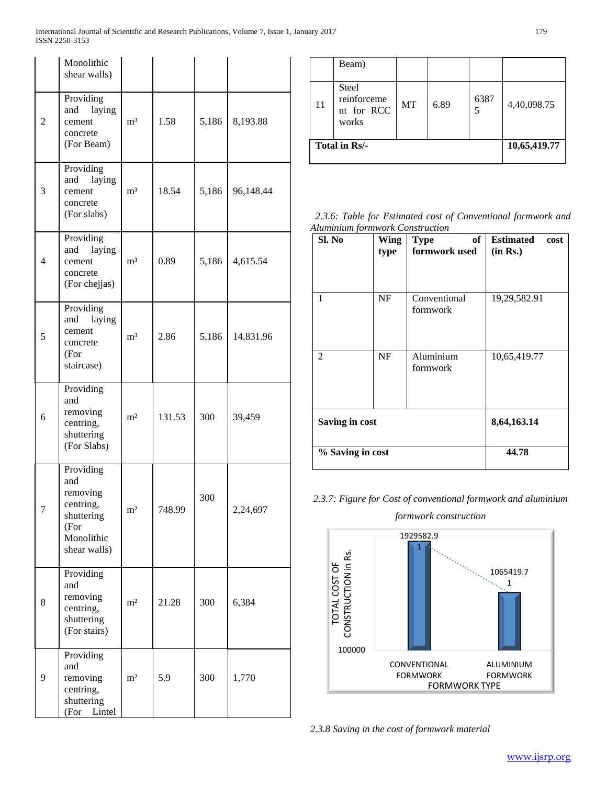|                | Monolithic<br>shear walls)                                                                    |                |        |       |           |
|----------------|-----------------------------------------------------------------------------------------------|----------------|--------|-------|-----------|
| $\overline{c}$ | Providing<br>and<br>laying<br>cement<br>concrete<br>(For Beam)                                | m <sup>3</sup> | 1.58   | 5,186 | 8,193.88  |
| 3              | Providing<br>laying<br>and<br>cement<br>concrete<br>(For slabs)                               | m <sup>3</sup> | 18.54  | 5,186 | 96,148.44 |
| 4              | Providing<br>and<br>laying<br>cement<br>concrete<br>(For chejjas)                             | $\mathbf{m}^3$ | 0.89   | 5,186 | 4,615.54  |
| 5              | Providing<br>laying<br>and<br>cement<br>concrete<br>(For<br>staircase)                        | m <sup>3</sup> | 2.86   | 5,186 | 14,831.96 |
| 6              | Providing<br>and<br>removing<br>centring,<br>shuttering<br>(For Slabs)                        | m <sup>2</sup> | 131.53 | 300   | 39,459    |
| 7              | Providing<br>and<br>removing<br>centring,<br>shuttering<br>(For<br>Monolithic<br>shear walls) | m <sup>2</sup> | 748.99 | 300   | 2,24,697  |
| 8              | Providing<br>and<br>removing<br>centring,<br>shuttering<br>(For stairs)                       | $\rm m^2$      | 21.28  | 300   | 6,384     |
| 9              | Providing<br>and<br>removing<br>centring,<br>shuttering<br>Lintel<br>(For                     | m <sup>2</sup> | 5.9    | 300   | 1,770     |

|    | Beam)                                              |              |      |           |             |
|----|----------------------------------------------------|--------------|------|-----------|-------------|
| 11 | <b>Steel</b><br>reinforceme<br>nt for RCC<br>works | <b>MT</b>    | 6.89 | 6387<br>5 | 4,40,098.75 |
|    | Total in Rs/-                                      | 10,65,419.77 |      |           |             |

*2.3.6: Table for Estimated cost of Conventional formwork and Aluminium formwork Construction*

| Sl. No           | <b>Wing</b><br>type | of<br><b>Type</b><br>formwork used | <b>Estimated</b><br>cost<br>(in Rs.) |
|------------------|---------------------|------------------------------------|--------------------------------------|
| 1                | NF                  | Conventional<br>formwork           | 19,29,582.91                         |
| 2                | <b>NF</b>           | Aluminium<br>formwork              | 10,65,419.77                         |
| Saving in cost   | 8,64,163.14         |                                    |                                      |
| % Saving in cost | 44.78               |                                    |                                      |

# *2.3.7: Figure for Cost of conventional formwork and aluminium*



*2.3.8 Saving in the cost of formwork material*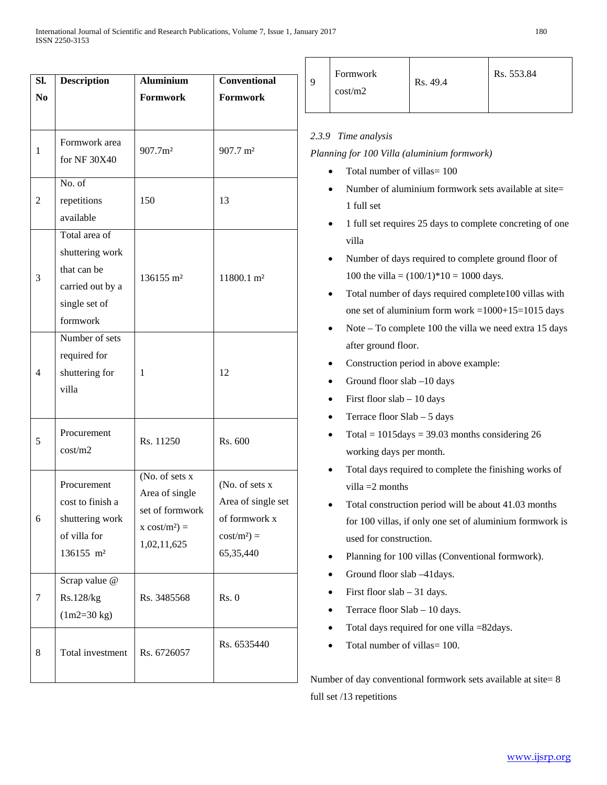| SI.<br>N <sub>0</sub> | <b>Description</b>                                                                               | <b>Aluminium</b><br>Formwork                                                                          | Conventional<br><b>Formwork</b>                                                     |
|-----------------------|--------------------------------------------------------------------------------------------------|-------------------------------------------------------------------------------------------------------|-------------------------------------------------------------------------------------|
| $\mathbf{1}$          | Formwork area                                                                                    | 907.7m <sup>2</sup>                                                                                   | 907.7 m <sup>2</sup>                                                                |
|                       | for NF 30X40<br>No. of                                                                           |                                                                                                       |                                                                                     |
| $\overline{c}$        | repetitions<br>available                                                                         | 150                                                                                                   | 13                                                                                  |
| 3                     | Total area of<br>shuttering work<br>that can be<br>carried out by a<br>single set of<br>formwork | 136155 m <sup>2</sup>                                                                                 | 11800.1 m <sup>2</sup>                                                              |
| 4                     | Number of sets<br>required for<br>shuttering for<br>villa                                        | 1                                                                                                     | 12                                                                                  |
| 5                     | Procurement<br>cost/m2                                                                           | Rs. 11250                                                                                             | Rs. 600                                                                             |
| 6                     | Procurement<br>cost to finish a<br>shuttering work<br>of villa for<br>136155 m <sup>2</sup>      | (No. of sets $\overline{x}$ )<br>Area of single<br>set of formwork<br>$x \cos t/m^2$ =<br>1,02,11,625 | (No. of sets x<br>Area of single set<br>of formwork x<br>$cost/m2$ ) =<br>65,35,440 |
| 7                     | Scrap value @<br>Rs.128/kg<br>$(1m2=30 kg)$                                                      | Rs. 3485568                                                                                           | Rs. 0                                                                               |
| 8                     | Total investment                                                                                 | Rs. 6726057                                                                                           | Rs. 6535440                                                                         |

| 9 | Formwork<br>cost/m2 | Rs. 49.4 | Rs. 553.84 |
|---|---------------------|----------|------------|
|---|---------------------|----------|------------|

# *2.3.9 Time analysis*

*Planning for 100 Villa (aluminium formwork)*

- Total number of villas= 100
- Number of aluminium formwork sets available at site= 1 full set
- 1 full set requires 25 days to complete concreting of one villa
- Number of days required to complete ground floor of 100 the villa =  $(100/1)*10 = 1000$  days.
- Total number of days required complete100 villas with one set of aluminium form work = $1000+15=1015$  days
- Note To complete 100 the villa we need extra 15 days after ground floor.
- Construction period in above example:
- Ground floor slab –10 days
- First floor slab 10 days
- Terrace floor Slab 5 days
- Total =  $1015 \text{days} = 39.03$  months considering 26 working days per month.
- Total days required to complete the finishing works of villa =2 months
- Total construction period will be about 41.03 months for 100 villas, if only one set of aluminium formwork is used for construction.
- Planning for 100 villas (Conventional formwork).
- Ground floor slab -41 days.
- First floor slab  $-31$  days.
- Terrace floor Slab 10 days.
- Total days required for one villa =82days.
- Total number of villas = 100.

Number of day conventional formwork sets available at site= 8 full set /13 repetitions